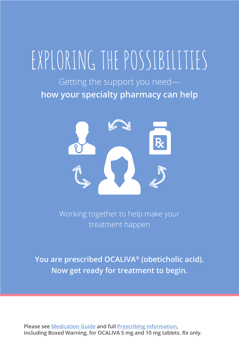# EXPLORING THE POSSIBILITIES

Getting the support you need **how your specialty pharmacy can help**



Working together to help make your treatment happen

**You are prescribed OCALIVA® (obeticholic acid). Now get ready for treatment to begin.**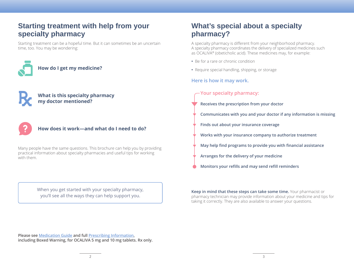# **Starting treatment with help from your specialty pharmacy**

Starting treatment can be a hopeful time. But it can sometimes be an uncertain time, too. You may be wondering:



### **What is this specialty pharmacy my doctor mentioned?**



### **How does it work—and what do I need to do?**

Many people have the same questions. This brochure can help you by providing practical information about specialty pharmacies and useful tips for working with them.

> When you get started with your specialty pharmacy, you'll see all the ways they can help support you.

# **What's special about a specialty pharmacy?**

A specialty pharmacy is different from your neighborhood pharmacy. A specialty pharmacy coordinates the delivery of specialized medicines such as OCALIVA® (obeticholic acid). These medicines may, for example:

- **•** Be for a rare or chronic condition
- **•** Require special handling, shipping, or storage

### **Here is how it may work.**

### **Your specialty pharmacy:**

- **Receives the prescription from your doctor**
- **Communicates with you and your doctor if any information is missing**
- **Finds out about your insurance coverage**
- **Works with your insurance company to authorize treatment**
- **May help find programs to provide you with financial assistance**
- **Arranges for the delivery of your medicine**
- **Monitors your refills and may send refill reminders**

**Keep in mind that these steps can take some time.** Your pharmacist or pharmacy technician may provide information about your medicine and tips for taking it correctly. They are also available to answer your questions.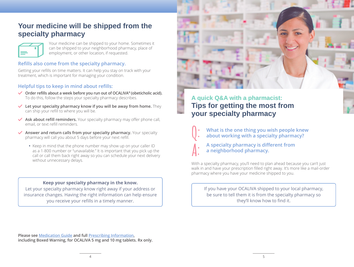# **Your medicine will be shipped from the specialty pharmacy**



Your medicine can be shipped to your home. Sometimes it can be shipped to your neighborhood pharmacy, place of employment, or other location, if requested.

### **Refills also come from the specialty pharmacy.**

Getting your refills on time matters. It can help you stay on track with your treatment, which is important for managing your condition.

### **Helpful tips to keep in mind about refills:**

- **Order refills about a week before you run out of OCALIVA® (obeticholic acid).** To do this, follow the steps your specialty pharmacy describes.
- **Let your specialty pharmacy know if you will be away from home.** They can ship your refill to where you will be.
- **Ask about refill reminders.** Your specialty pharmacy may offer phone call, email, or text refill reminders.
- **Answer and return calls from your specialty pharmacy.** Your specialty pharmacy will call you about 5 days before your next refill.
	- **•** Keep in mind that the phone number may show up on your caller ID as a 1-800 number or "unavailable." It is important that you pick up the call or call them back right away so you can schedule your next delivery without unnecessary delays.

### **Keep your specialty pharmacy in the know.**

Let your specialty pharmacy know right away if your address or insurance changes. Having the right information can help ensure you receive your refills in a timely manner.



# **A quick Q&A with a pharmacist: Tips for getting the most from your specialty pharmacy**



**What is the one thing you wish people knew about working with a specialty pharmacy?**



**A specialty pharmacy is different from a neighborhood pharmacy.**

With a specialty pharmacy, you'll need to plan ahead because you can't just walk in and have your prescription filled right away. It's more like a mail-order pharmacy where you have your medicine shipped to you.

If you have your OCALIVA shipped to your local pharmacy, be sure to tell them it is from the specialty pharmacy so they'll know how to find it.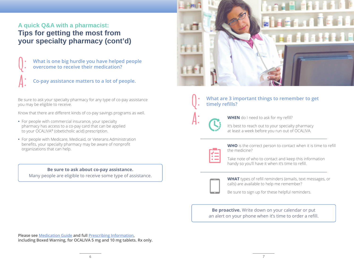# **A quick Q&A with a pharmacist: Tips for getting the most from your specialty pharmacy (cont'd)**

- What is one big hurdle you have helped people overcome to receive their medication?
- **A: Co-pay assistance matters to a lot of people.**

Be sure to ask your specialty pharmacy for any type of co-pay assistance you may be eligible to receive.

Know that there are different kinds of co-pay savings programs as well.

- **•** For people with commercial insurance, your specialty pharmacy has access to a co-pay card that can be applied to your OCALIVA® (obeticholic acid) prescription.
- **•** For people with Medicare, Medicaid, or Veterans Administration benefits, your specialty pharmacy may be aware of nonprofit organizations that can help.

**Be sure to ask about co-pay assistance.**

Many people are eligible to receive some type of assistance.



# **A:**

**What are 3 important things to remember to get timely refills?** 

**WHEN** do I need to ask for my refill?

It's best to reach out to your specialty pharmacy at least a week before you run out of OCALIVA.



**WHO** is the correct person to contact when it is time to refill the medicine?

Take note of who to contact and keep this information handy so you'll have it when it's time to refill.



**WHAT** types of refill reminders (emails, text messages, or calls) are available to help me remember?

Be sure to sign up for these helpful reminders.

**Be proactive.** Write down on your calendar or put an alert on your phone when it's time to order a refill.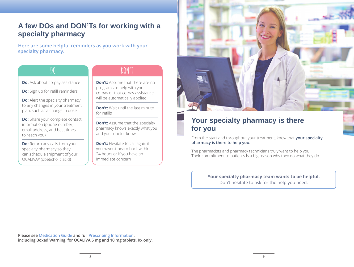# **A few DOs and DON'Ts for working with a specialty pharmacy**

**Here are some helpful reminders as you work with your specialty pharmacy.**

## **DO**

# **DON'T**

**Do:** Ask about co-pay assistance

**Do:** Sign up for refill reminders

**Do:** Alert the specialty pharmacy to any changes in your treatment plan, such as a change in dose

**Do:** Share your complete contact information (phone number, email address, and best times to reach you)

**Do:** Return any calls from your specialty pharmacy so they can schedule shipment of your OCALIVA® (obeticholic acid)

**Don't:** Assume that there are no programs to help with your co-pay or that co-pay assistance will be automatically applied

**Don't:** Wait until the last minute for refills

**Don't:** Assume that the specialty pharmacy knows exactly what you and your doctor know

**Don't:** Hesitate to call again if you haven't heard back within 24 hours or if you have an immediate concern



# **Your specialty pharmacy is there for you**

From the start and throughout your treatment, know that **your specialty pharmacy is there to help you.**

The pharmacists and pharmacy technicians truly want to help you. Their commitment to patients is a big reason why they do what they do.

> **Your specialty pharmacy team wants to be helpful.** Don't hesitate to ask for the help you need.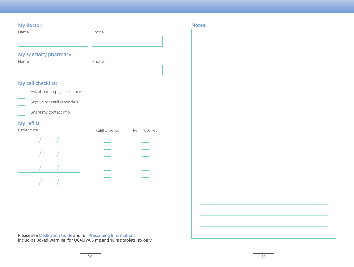### **My doctor:**

| Name: | Phone: |
|-------|--------|
|       |        |
|       |        |

## **My specialty pharmacy:**

| Name: | Phone: |
|-------|--------|
|       |        |

### **My call checklist:**



Ask about co-pay assistance



Sign up for refill reminders



Share my contact info

## **My refills:**

| $\sim$<br>Order date: | Refill ordered | Refill received |
|-----------------------|----------------|-----------------|
|                       |                |                 |
|                       |                |                 |
|                       |                |                 |
|                       |                |                 |

**Notes:**